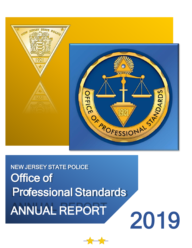

NEW JERSEY STATE POLICE **Office of** Professional Standards ANNUAL REPORT 2019

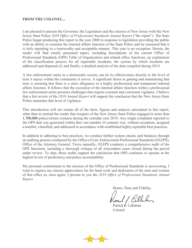#### **FROM THE COLONEL...**

I am pleased to present the Governor, the Legislature and the citizens of New Jersey with the New Jersey State Police *2019 Office of Professional Standards Annual Report* ("the report"). The State Police began producing this report in the year 2000 in response to legislation providing the public with an ability to examine the internal affairs function of the State Police and be reassured that it is truly operating in a trustworthy and acceptable manner. This year is no exception. Herein, the reader will find clearly presented topics, including descriptions of the current Office of Professional Standards (OPS) Table of Organization and related office functions, an explanation of the classification process for all reportable incidents, the system by which incidents are addressed and disposed of, and finally, a detailed analysis of the data compiled during 2019.

A law enforcement entity in a democratic society can tie its effectiveness directly to the level of trust it enjoys within the community it serves. A significant factor in gaining and maintaining that trust is ensuring that there is a strict allegiance to a highly professional and transparent internal affairs function. It follows that the execution of the internal affairs function within a professional law enforcement entity presents challenges that require constant and consistent vigilance. I believe that a fair review of the *2019 Annual Report* will support the conclusion that the New Jersey State Police maintains that level of vigilance.

This introduction will not restate all of the facts, figures and analysis articulated in this report, other than to remind the reader that troopers of the New Jersey State Police engaged in more than 1,700,000 police/citizen contacts during the calendar year 2019. Any single complaint reported to the OPS that was generated within that vast number of contacts was, without exception, assigned a number, classified, and addressed in accordance with established highly reputable best practices.

In addition to adhering to best practices, we conduct further system checks and balances through an auditing process conducted by the Office of Law Enforcement Professional Standards (OLEPS), Office of the Attorney General. Twice annually, OLEPS conducts a comprehensive audit of the OPS functions, including a thorough critique of all misconduct cases closed during the period under review. To date, these audits support the conclusion that OPS continues to operate at the highest levels of proficiency and police accountability.

My personal commitment to the mission of the Office of Professional Standards is unwavering. I want to express my sincere appreciation for the hard work and dedication of the men and women of that office as, once again, I present to you the *2019 Office of Professional Standards Annual Report.*

Honor, Duty and Fidelity,

Patent f. Co

Patrick J. Callahan Colonel

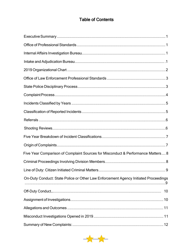# **Table of Contents**

| Five Year Comparison of Complaint Sources for Misconduct & Performance Matters 8    |  |
|-------------------------------------------------------------------------------------|--|
|                                                                                     |  |
|                                                                                     |  |
| On-Duty Conduct: State Police or Other Law Enforcement Agency Initiated Proceedings |  |
| 10                                                                                  |  |
|                                                                                     |  |
|                                                                                     |  |
|                                                                                     |  |
|                                                                                     |  |

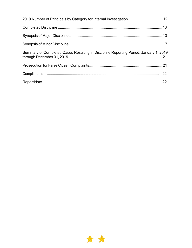| 2019 Number of Principals by Category for Internal Investigation 12                  |  |
|--------------------------------------------------------------------------------------|--|
|                                                                                      |  |
|                                                                                      |  |
|                                                                                      |  |
| Summary of Completed Cases Resulting in Discipline Reporting Period: January 1, 2019 |  |
|                                                                                      |  |
|                                                                                      |  |
|                                                                                      |  |

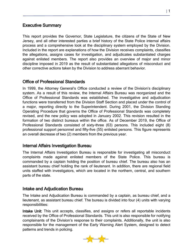# <span id="page-6-0"></span>Executive Summary

This report provides the Governor, State Legislature, the citizens of the State of New Jersey, and all other interested parties a brief history of the State Police internal affairs process and a comprehensive look at the disciplinary system employed by the Division. Included in the report are explanations of how the Division receives complaints, classifies the allegations, assigns cases for investigation, and adjudicates substantiated charges against enlisted members. The report also provides an overview of major and minor discipline imposed in 2019 as the result of substantiated allegations of misconduct and other corrective actions taken by the Division to address aberrant behavior.

# <span id="page-6-1"></span>Office of Professional Standards

In 1999, the Attorney General's Office conducted a review of the Division's disciplinary system. As a result of this review, the Internal Affairs Bureau was reorganized and the Office of Professional Standards was established. The investigative and adjudication functions were transferred from the Division Staff Section and placed under the control of a major, reporting directly to the Superintendent. During 2001, the Division Standing Operating Procedure that governs the Office of Professional Standards was completely revised, and the new policy was adopted in January 2002. This revision resulted in the formation of two distinct bureaus within the office. As of December 2019, the Office of Professional Standards consisted of sixty-three (63) persons. This included eight (8) professional support personnel and fifty-five (55) enlisted persons. This figure represents an overall decrease of two (2) members from the previous year.

# <span id="page-6-2"></span>Internal Affairs Investigation Bureau

The Internal Affairs Investigation Bureau is responsible for investigating all misconduct complaints made against enlisted members of the State Police. This bureau is commanded by a captain holding the position of bureau chief. The bureau also has an assistant bureau chief holding the rank of lieutenant. In addition, there are regional field units staffed with investigators, which are located in the northern, central, and southern parts of the state.

# <span id="page-6-3"></span>Intake and Adjudication Bureau

The Intake and Adjudication Bureau is commanded by a captain, as bureau chief, and a lieutenant, as assistant bureau chief. The bureau is divided into four (4) units with varying responsibilities:

Intake Unit: This unit accepts, classifies, and assigns or refers all reportable incidents received by the Office of Professional Standards. This unit is also responsible for notifying complainants of the Division's response to their complaints. Additionally, the unit is also responsible for the management of the Early Warning Alert System, designed to detect patterns and trends in policing.

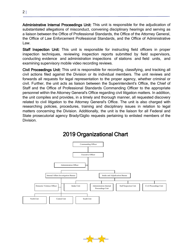Administrative Internal Proceedings Unit: This unit is responsible for the adjudication of substantiated allegations of misconduct, convening disciplinary hearings and serving as a liaison between the Office of Professional Standards, the Office of the Attorney General, the Office of Law Enforcement Professional Standards, and the Office of Administrative Law.

Staff Inspection Unit: This unit is responsible for instructing field officers in proper inspection techniques, reviewing inspection reports submitted by field supervisors, conducting evidence and administration inspections of stations and field units, and examining supervisory mobile video recording reviews.

Civil Proceedings Unit: This unit is responsible for recording, classifying, and tracking all civil actions filed against the Division or its individual members. The unit reviews and forwards all requests for legal representation to the proper agency, whether criminal or civil. Further, the unit acts as liaison between the Superintendent's Office, the Chief of Staff and the Office of Professional Standards Commanding Officer to the appropriate personnel within the Attorney General's Office regarding civil litigation matters. In addition, the unit compiles and provides, in a timely and thorough manner, all requested discovery related to civil litigation to the Attorney General's Office. The unit is also charged with researching policies, procedures, training and disciplinary issues in relation to legal matters concerning the Division. Additionally, the unit is the liaison for all Federal and State prosecutorial agency Brady/Giglio requests pertaining to enlisted members of the Division.

<span id="page-7-0"></span>

# 2019 Organizational Chart

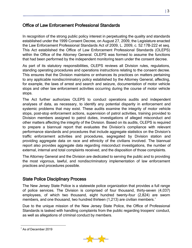# <span id="page-8-0"></span>Office of Law Enforcement Professional Standards

In recognition of the strong public policy interest in perpetuating the quality and standards established under the 1999 Consent Decree, on August 27, 2009, the Legislature enacted the Law Enforcement Professional Standards Act of 2009, L. 2009, c. 52:17B-222 et seq. This Act established the Office of Law Enforcement Professional Standards (OLEPS) within the Office of the Attorney General. OLEPS was formed to assume the functions that had been performed by the independent monitoring team under the consent decree.

As part of its statutory responsibilities, OLEPS reviews all Division rules, regulations, standing operating procedures and operations instructions relating to the consent decree. This ensures that the Division maintains or enhances its practices on matters pertaining to any applicable nondiscriminatory policy established by the Attorney General, affecting, for example, the laws of arrest and search and seizure, documentation of motor vehicle stops and other law enforcement activities occurring during the course of motor vehicle stops.

The Act further authorizes OLEPS to conduct operations audits and independent analyses of data, as necessary, to identify any potential disparity in enforcement and systemic problems that may exist. These audits examine the integrity of motor vehicle stops, post-stop enforcement actions, supervision of patrol activities, training provided to Division members assigned to patrol duties, investigations of alleged misconduct and other matters affecting the integrity of the Division. Based on its audits, OLEPS is required to prepare a biannual report that evaluates the Division's compliance with relevant performance standards and procedures that include aggregate statistics on the Division's traffic enforcement activities and procedures, segregated by Division station and providing aggregate data on race and ethnicity of the civilians involved. The biannual report also provides aggregate data regarding misconduct investigations, the number of external, internal and total complaints received, and the disposition of those complaints.

The Attorney General and the Division are dedicated to serving the public and to providing the most vigorous, lawful, and nondiscriminatory implementation of law enforcement practices and procedures possible.

# <span id="page-8-1"></span>State Police Disciplinary Process

The New Jersey State Police is a statewide police organization that provides a full range of police services. The Division is comprised of four thousand, thirty-seven (4,037) employees, of which two thousand, eight hundred twenty-four (2,824) are sworn members, and one thousand, two hundred thirteen (1,213) are civilian members.<sup>[\\*](#page-8-2)</sup>

Due to the unique mission of the New Jersey State Police, the Office of Professional Standards is tasked with handling complaints from the public regarding troopers' conduct, as well as allegations of criminal conduct by members.



<span id="page-8-2"></span> <sup>\*</sup> As of December <sup>2019</sup>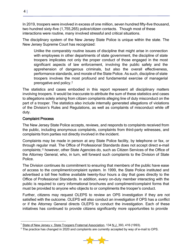In 2019, troopers were involved in excess of one million, seven hundred fifty-five thousand, two hundred sixty-five (1,755,265) police/citizen contacts. Though most of these interactions were routine, many involved stressful and critical situations.

The disciplinary system of the New Jersey State Police is unique within the state. The New Jersey Supreme Court has recognized:

Unlike the comparably routine issues of discipline that might arise in connection with employees in other departments of state government, the discipline of state troopers implicates not only the proper conduct of those engaged in the most significant aspects of law enforcement, involving the public safety and the apprehension of dangerous criminals, but also the overall effectiveness, performance standards, and morale of the State Police. As such, discipline of state troopers involves the most profound and fundamental exercise of managerial prerogative and policy.[†](#page-9-1)

The statistics and cases embodied in this report represent all disciplinary matters involving troopers. It would be inaccurate to attribute the sum of these statistics and cases to allegations solely arising from citizen complaints alleging line of duty misconduct on the part of a trooper. The statistics also include internally generated allegations of violations of the Division's Rules and Regulations, as well as complaints of misconduct while off duty.

### <span id="page-9-0"></span>Complaint Process

The New Jersey State Police accepts, reviews, and responds to complaints received from the public, including anonymous complaints, complaints from third-party witnesses, and complaints from parties not directly involved in the incident.

Complaints may be made in person at any State Police facility, by telephone or fax, or through regular mail. The Office of Professional Standards does not accept direct e-mail complaints; [‡](#page-9-2) however, other State Agencies do, such as Citizen Services of the Office of the Attorney General, who, in turn, will forward such complaints to the Division of State Police.

The Division continues its commitment to ensuring that members of the public have ease of access to the compliment/complaint system. In 1999, the State Police instituted and advertised a toll free hotline available twenty-four hours a day that goes directly to the Office of Professional Standards. In addition, every on-duty member interacting with the public is required to carry informational brochures and compliment/complaint forms that must be provided to anyone who objects to or compliments the trooper's conduct.

Further, citizens may request OLEPS to review an OPS investigation if they are not satisfied with the outcome. OLEPS will also conduct an investigation if OPS has a conflict or if the Attorney General directs OLEPS to conduct the investigation. Each of these initiatives has continued to provide citizens significantly more opportunities to provide

<span id="page-9-1"></span>State of New Jersey v. State Troopers Fraternal Association, 134 N.J. 393, 416 (1993).

<span id="page-9-2"></span><sup>&</sup>lt;sup>‡</sup> The practice has changed in 2020 and complaints are currently accepted by way of e-mail to OPS.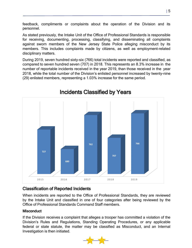feedback, compliments or complaints about the operation of the Division and its personnel.

As stated previously, the Intake Unit of the Office of Professional Standards is responsible for receiving, documenting, processing, classifying, and disseminating all complaints against sworn members of the New Jersey State Police alleging misconduct by its members. This includes complaints made by citizens, as well as employment-related disciplinary matters.

During 2019, seven hundred sixty-six (766) total incidents were reported and classified, as compared to seven hundred seven (707) in 2018. This represents an 8.3% increase in the number of reportable incidents received in the year 2019, than those received in the year 2018, while the total number of the Division's enlisted personnel increased by twenty-nine (29) enlisted members, representing a 1.03% increase for the same period.

<span id="page-10-0"></span>

# Incidents Classified by Years

# <span id="page-10-1"></span>Classification of Reported Incidents

When incidents are reported to the Office of Professional Standards, they are reviewed by the Intake Unit and classified in one of four categories after being reviewed by the Office of Professional Standards Command Staff members.

#### **Misconduct**

If the Division receives a complaint that alleges a trooper has committed a violation of the Division's Rules and Regulations, Standing Operating Procedures, or any applicable federal or state statute, the matter may be classified as Misconduct, and an Internal Investigation is then initiated.

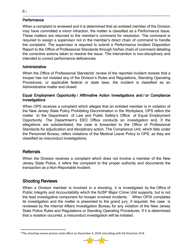#### **Performance**

When a complaint is reviewed and it is determined that an enlisted member of the Division may have committed a minor infraction, the matter is classified as a Performance Issue. These matters are returned to the member's command for resolution. The command is required to assign a supervisor not in the member's direct chain of command to handle the complaint. The supervisor is required to submit a Performance Incident Disposition Report to the Office of Professional Standards through his/her chain of command detailing the corrective actions taken to resolve the issue. The intervention is non-disciplinary and intended to correct performance deficiencies.

#### Administrative

When the Office of Professional Standards' review of the reported incident reveals that a trooper has not violated any of the Division's Rules and Regulations, Standing Operating Procedures, or applicable federal or state laws, the incident is classified as an Administrative matter and closed.

#### Equal Employment Opportunity / Affirmative Action Investigations and / or Compliance **Investigations**

When OPS receives a complaint which alleges that an enlisted member is in violation of the New Jersey State Policy Prohibiting Discrimination in the Workplace, OPS refers the matter to the Department of Law and Public Safety's Office of Equal Employment Opportunity. The Department's EEO Office conducts an investigation and, if the allegations are substantiated, the case is forwarded to the Office of Professional Standards for adjudication and disciplinary action. The Compliance Unit, which falls under the Personnel Bureau, refers violations of the Medical Leave Policy to OPS, as they are classified as misconduct investigations.

### <span id="page-11-0"></span>Referrals

l

When the Division receives a complaint which does not involve a member of the New Jersey State Police, it refers the complaint to the proper authority and documents the transaction as a Non-Reportable Incident.

# <span id="page-11-1"></span>Shooting Reviews

When a Division member is involved in a shooting, it is investigated by the Office of Public Integrity and Accountability which the NJSP Major Crime Unit supports, but is not the lead investigative component for trooper involved incidents. [\\*](#page-11-2) When OPIA completes its investigation and the matter is presented to the grand jury, if required, the case is reviewed by the Internal Affairs Investigation Bureau for any violation of the New Jersey State Police Rules and Regulations or Standing Operating Procedures. If it is determined that a violation occurred, a misconduct investigation will be initiated.

<span id="page-11-2"></span><sup>\*</sup>The shooting review process took effect on December 4, 2019 coinciding with AG Directive 19-8.

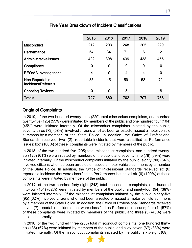<span id="page-12-0"></span>

|                                              | 2015           | 2016 | 2017           | 2018           | 2019           |
|----------------------------------------------|----------------|------|----------------|----------------|----------------|
| <b>Misconduct</b>                            | 212            | 203  | 248            | 205            | 229            |
| Performance                                  | 54             | 34   | 7              | 6              | $\overline{2}$ |
| <b>Administrative Issues</b>                 | 422            | 398  | 439            | 438            | 455            |
| Compliance                                   | $\overline{0}$ | 0    | $\overline{0}$ | $\overline{0}$ | $\overline{0}$ |
| <b>EEO/AA Investigations</b>                 | 4              | 0    | 4              | 4              | $\mathbf 0$    |
| Non-Reportable<br><b>Incidents/Referrals</b> | 35             | 45   | 59             | 53             | 72             |
| <b>Shooting Reviews</b>                      | 0              | 0    | 5              |                | 8              |
| <b>Totals</b>                                | 727            | 680  | 762            | 707            | 766            |

Five Year Breakdown of Incident Classifications

# <span id="page-12-1"></span>Origin of Complaints

In 2019, of the two hundred twenty-nine (229) total misconduct complaints, one hundred twenty-five (125) (55%) were initiated by members of the public and one hundred four (104) (45%) were initiated internally. Of the misconduct complaints initiated by the public, seventy-three (73) (58%) involved citizens who had been arrested or issued a motor vehicle summons by a member of the State Police. In addition, the Office of Professional Standards received two (2) reportable incidents that were classified as Performance issues; both (100%) of these complaints were initiated by members of the public.

In 2018, of the two hundred five (205) total misconduct complaints, one hundred twentysix (126) (61%) were initiated by members of the public and seventy-nine (79) (39%) were initiated internally. Of the misconduct complaints initiated by the public, eighty (80) (64%) involved citizens who had been arrested or issued a motor vehicle summons by a member of the State Police. In addition, the Office of Professional Standards received six (6) reportable incidents that were classified as Performance issues; all six (6) (100%) of these complaints were initiated by members of the public.

In 2017, of the two hundred forty-eight (248) total misconduct complaints, one hundred fifty-four (154) (62%) were initiated by members of the public, and ninety-four (94) (38%) were initiated internally. Of the misconduct complaints initiated by the public, ninety-five (95) (62%) involved citizens who had been arrested or issued a motor vehicle summons by a member of the State Police. In addition, the Office of Professional Standards received seven (7) reportable incidents that were classified as Performance issues; four (4) (57%) of these complaints were initiated by members of the public, and three (3) (43%) were initiated internally.

In 2016, of the two hundred three (203) total misconduct complaints, one hundred thirtysix (136) (67%) were initiated by members of the public, and sixty-seven (67) (33%) were initiated internally. Of the misconduct complaints initiated by the public, sixty-eight (68)

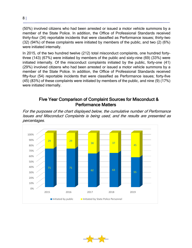(50%) involved citizens who had been arrested or issued a motor vehicle summons by a member of the State Police. In addition, the Office of Professional Standards received thirty-four (34) reportable incidents that were classified as Performance issues; thirty-two (32) (94%) of these complaints were initiated by members of the public, and two (2) (6%) were initiated internally.

In 2015, of the two hundred twelve (212) total misconduct complaints, one hundred fortythree (143) (67%) were initiated by members of the public and sixty-nine (69) (33%) were initiated internally. Of the misconduct complaints initiated by the public, forty-one (41) (29%) involved citizens who had been arrested or issued a motor vehicle summons by a member of the State Police. In addition, the Office of Professional Standards received fifty-four (54) reportable incidents that were classified as Performance issues; forty-five (45) (83%) of these complaints were initiated by members of the public, and nine (9) (17%) were initiated internally.

# Five Year Comparison of Complaint Sources for Misconduct & Performance Matters

For the purposes of the chart displayed below, the cumulative number of Performance Issues and Misconduct Complaints is being used, and the results are presented as percentages.



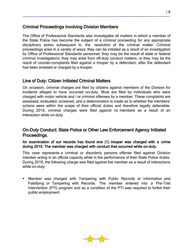# <span id="page-14-0"></span>Criminal Proceedings Involving Division Members

The Office of Professional Standards also investigates all matters in which a member of the State Police has become the subject of a criminal proceeding for any appropriate disciplinary action subsequent to the resolution of the criminal matter. Criminal proceedings arise in a variety of ways: they can be initiated as a result of an investigation by Office of Professional Standards personnel; they may be the result of state or federal criminal investigations; they may arise from off-duty conduct matters; or they may be the result of counter-complaints filed against a trooper by a defendant, after the defendant has been arrested or charged by a trooper.

### <span id="page-14-1"></span>Line of Duty: Citizen Initiated Criminal Matters

On occasion, criminal charges are filed by citizens against members of the Division for incidents alleged to have occurred on-duty. Most are filed by individuals who were charged with motor vehicle and / or criminal offenses by a member. These complaints are assessed, evaluated, screened, and a determination is made as to whether the members' actions were within the scope of their official duties and therefore legally defensible. During 2019, criminal charges were filed against no members as a result of an interaction while on-duty.

# On-Duty Conduct: State Police or Other Law Enforcement Agency Initiated Proceedings.

#### An examination of our records has found one (1) trooper was charged with a crime during 2019. The member was charged with conduct that occurred while on-duty.

This case represents a criminal or disorderly persons offense filed against Division member acting in an official capacity while in the performance of their State Police duties. During 2019, the following charge was filed against the member as a result of interactions while on-duty:

 Member was charged with Tampering with Public Records or Information and Falsifying or Tampering with Records. The member entered into a Pre-Trial Intervention (PTI) program and as a condition of the PTI was required to forfeit their public employment.

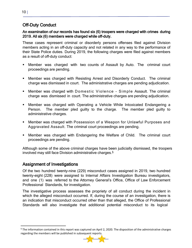# <span id="page-15-0"></span>Off-Duty Conduct

### An examination of our records has found six (6) troopers were charged with crimes during 2019. All six (6) members were charged while off-duty.

These cases represent criminal or disorderly persons offenses filed against Division members acting in an off-duty capacity and not related in any way to the performance of their State Police duties. During 2019, the following charges were filed against members as a result of off-duty conduct:

- Member was charged with two counts of Assault by Auto. The criminal court proceedings are pending.
- Member was charged with Resisting Arrest and Disorderly Conduct. The criminal charge was dismissed in court. The administrative charges are pending adjudication.
- Member was charged with Domestic Violence Simple Assault. The criminal charge was dismissed in court. The administrative charges are pending adjudication.
- Member was charged with Operating a Vehicle While Intoxicated Endangering a Person. The member pled guilty to the charge. The member pled guilty to administrative charges.
- Member was charged with Possession of a Weapon for Unlawful Purposes and Aggravated Assault. The criminal court proceedings are pending.
- Member was charged with Endangering the Welfare of Child. The criminal court proceedings are pending.

<span id="page-15-1"></span>Although some of the above criminal charges have been judicially dismissed, the troopers involved may still face Division administrative charges[.§](#page-15-2)

# Assignment of Investigations

Of the two hundred twenty-nine (229) misconduct cases assigned in 2019, two hundred twenty-eight (228) were assigned to Internal Affairs Investigation Bureau investigators, and one (1) was referred to the Attorney General's Office, Office of Law Enforcement Professional Standards, for investigation.

The investigative process assesses the propriety of all conduct during the incident in which the alleged misconduct occurred. If, during the course of an investigation, there is an indication that misconduct occurred other than that alleged, the Office of Professional Standards will also investigate that additional potential misconduct to its logical

<span id="page-15-2"></span> <sup>§</sup> The information contained in this report was captured on April 2, 2020. The disposition of the administrative charges regarding the members will be published in subsequent reports.

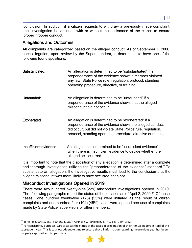<span id="page-16-0"></span>conclusion. In addition, if a citizen requests to withdraw a previously made complaint, the investigation is continued with or without the assistance of the citizen to ensure proper trooper conduct.

### <span id="page-16-1"></span>Allegations and Outcomes

All complaints are categorized based on the alleged conduct. As of September 1, 2000, each allegation, upon review by the Superintendent, is determined to have one of the following four dispositions:

| Substantiated:         | An allegation is determined to be "substantiated" if a<br>preponderance of the evidence shows a member violated<br>any law, State Police rule, regulation, protocol, standing<br>operating procedure, directive, or training.                     |
|------------------------|---------------------------------------------------------------------------------------------------------------------------------------------------------------------------------------------------------------------------------------------------|
| Unfounded:             | An allegation is determined to be "unfounded" if a<br>preponderance of the evidence shows that the alleged<br>misconduct did not occur.                                                                                                           |
| Exonerated:            | An allegation is determined to be "exonerated" if a<br>preponderance of the evidence shows the alleged conduct<br>did occur, but did not violate State Police rule, regulation,<br>protocol, standing operating procedure, directive or training. |
| Insufficient evidence: | An allegation is determined to be "insufficient evidence"<br>when there is insufficient evidence to decide whether the<br>alleged act occurred.                                                                                                   |

It is important to note that the disposition of any allegation is determined after a complete and thorough investigation utilizing the "preponderance of the evidence" standard.[\\*\\*](#page-16-3) To substantiate an allegation, the investigative results must lead to the conclusion that the alleged misconduct was more likely to have occurred, than not.

# <span id="page-16-2"></span>Misconduct Investigations Opened in 2019

There were two hundred twenty-nine (229) misconduct investigations opened in 2019. The following paragraphs report the status of these cases as of April 2, 2020.[††](#page-16-4) Of these cases, one hundred twenty-five (125) (55%) were initiated as the result of citizen complaints and one hundred four (104) (45%) cases were opened because of complaints made by State Police supervisors or other members.

<span id="page-16-4"></span><sup>††</sup> For consistency purposes, OPS assesses the status of the cases in preparation of their Annual Report in April of the subsequent year. This is to allow adequate time to ensure that all information regarding the previous year has been properly captured and is up-to-date.



<span id="page-16-3"></span> <sup>\*\*</sup> In Re Polk, 90 N.J. 550, 560-562 (1982); Atkinson v. Parsekian, 37 N.J. 143, 149 (1962).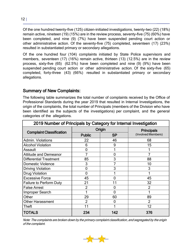Of the one hundred twenty-five (125) citizen-initiated investigations, twenty-two (22) (18%) remain active, nineteen (19) (15%) are in the review process, seventy-five (75) (60%) have been completed, and nine (9) (7%) have been suspended pending court action or other administrative action. Of the seventy-five (75) completed, seventeen (17) (23%) resulted in substantiated primary or secondary allegations.

Of the one hundred four (104) complaints initiated by State Police supervisors and members, seventeen (17) (16%) remain active, thirteen (13) (12.5%) are in the review process, sixty-five (65) (62.5%) have been completed and nine (9) (9%) have been suspended pending court action or other administrative action. Of the sixty-five (65) completed, forty-three (43) (66%) resulted in substantiated primary or secondary allegations.

# <span id="page-17-0"></span>Summary of New Complaints:

The following table summarizes the total number of complaints received by the Office of Professional Standards during the year 2019 that resulted in Internal Investigations, the origin of the complaints, the total number of Principals (members of the Division who have been identified as the subjects of the investigations) per complaint, and the general categories of the allegations.

<span id="page-17-1"></span>

| 2019 Number of Principals by Category for Internal Investigation |                |                |                                         |  |
|------------------------------------------------------------------|----------------|----------------|-----------------------------------------|--|
|                                                                  |                | Origin         | <b>Principals</b><br>(Involved Members) |  |
| <b>Complaint Classification</b>                                  | <b>Public</b>  | <b>SP</b>      |                                         |  |
| <b>Admin. Violations</b>                                         | 22             | 46             | 68                                      |  |
| <b>Alcohol Violation</b>                                         | 6              | 9              | 15                                      |  |
| Assault                                                          | 0              |                |                                         |  |
| <b>Attitude and Demeanor</b>                                     | 7              | $\overline{0}$ |                                         |  |
| <b>Differential Treatment</b>                                    | 85             | 3              | 88                                      |  |
| <b>Domestic Violence</b>                                         | 3              | 7              | 10                                      |  |
| <b>Driving Violation</b>                                         | 0              | 3              | 3                                       |  |
| <b>Drug Violation</b>                                            | 0              |                |                                         |  |
| <b>Excessive Force</b>                                           | 45             | 0              | 45                                      |  |
| <b>Failure to Perform Duty</b>                                   | 21             | 11             | 32                                      |  |
| <b>False Arrest</b>                                              | $\overline{2}$ | 0              | $\overline{2}$                          |  |
| Improper Search                                                  |                | 0              |                                         |  |
| Other                                                            | 29             | 60             | 89                                      |  |
| <b>Other Harassment</b>                                          | $\overline{2}$ | 0              | 2                                       |  |
| Theft                                                            |                |                | 12                                      |  |
| <b>TOTALS</b>                                                    | 234            | 142            | 376                                     |  |

Note: The complaints are broken down by the primary complaint classification, and segregated by the origin of the complaint.

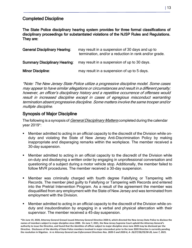# Completed Discipline

The State Police disciplinary hearing system provides for three formal classifications of disciplinary proceedings for substantiated violations of the NJSP Rules and Regulations. They are:

| <b>General Disciplinary Hearing:</b> | may result in a suspension of 30 days and up to<br>termination, and/or a reduction in rank and/or grade. |  |  |
|--------------------------------------|----------------------------------------------------------------------------------------------------------|--|--|
| <b>Summary Disciplinary Hearing:</b> | may result in a suspension of up to 30 days.                                                             |  |  |
| <b>Minor Discipline:</b>             | may result in a suspension of up to 5 days.                                                              |  |  |

\*Note: The New Jersey State Police utilize <sup>a</sup> progressive discipline model. Some cases may appear to have similar allegations or circumstances and result in <sup>a</sup> different penalty; however, an officer's disciplinary history and <sup>a</sup> repetitive occurrence of offenses would result in increased discipline except in cases of egregious misconduct warranting termination absent progressive discipline. Some matters involve the same trooper and/or multiple discipline.

# <span id="page-18-0"></span>Synopsis of Major Discipline

The following is a synopsis of *General Disciplinary Matters* completed during the calendar year 2019\*:

- Member admitted to acting in an official capacity to the discredit of the Division while onduty and violating the State of New Jersey Anti-Discrimination Policy by making inappropriate and disparaging remarks within the workplace. The member received a 30-day suspension.
- Member admitted to acting in an official capacity to the discredit of the Division while on-duty and disobeying a written order by engaging in unprofessional conversation and questioning of a subject during a motor vehicle stop. Additionally, the member failed to follow MVR procedures. The member received a 30-day suspension.
- Member was criminally charged with fourth degree Falsifying or Tampering with Records. The member pled guilty to Falsifying or Tampering with Records and entered into the Pretrial Intervention Program. As a result of the agreement the member was disqualified from any employment with the State of New Jersey and was terminated from employment with the Division.
- Member admitted to acting in an official capacity to the discredit of the Division while onduty and insubordination by engaging in a verbal and physical altercation with their supervisor. The member received a 45-day suspension.

**\*On June 19, 2020, Attorney General Grewal issued Attorney General Directive 2020-6, which directed the New Jersey State Police to disclose the names of members subject to major discipline since 2000. On June 7, 2021, the New Jersey Supreme Court upheld the Attorney General's authority to issue the Directive, and found that the identities of officer subject to major discipline since June 2020 may be disclosed per the Directive. Disclosure of the identity of State Police members involved in major misconduct prior to the June 2020 Directive is currently pending the resolution in litigation.** *In re Attorney General Law Enforcement Directives Nos. 2020-5 and 2020-6, A- 26/27/28/29/30-20, June 7, 2021.*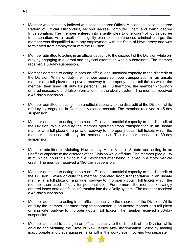- Member was criminally indicted with second degree Official Misconduct, second degree Pattern of Official Misconduct, second degree Computer Theft, and fourth degree Impersonation. The member entered into a guilty plea to one count of fourth degree Impersonation. As a result of the guilty plea to the referenced criminal charge, the member was disqualified from any employment with the State of New Jersey and was terminated from employment with the Division.
- Member admitted to acting in an official capacity to the discredit of the Division while onduty by engaging in a verbal and physical altercation with a subordinate. The member received a 30-day suspension.
- Member admitted to acting in both an official and unofficial capacity to the discredit of the Division. While on-duty the member operated troop transportation in an unsafe manner at a toll plaza on a private roadway to improperly obtain toll tickets which the member then used off duty for personal use. Furthermore, the member knowingly entered inaccurate and false information into the eDaily system. The member received a 45-day suspension.
- **Member admitted to acting in an unofficial capacity to the discredit of the Division while** off-duty by engaging in Domestic Violence assault. The member received a 45-day suspension.
- Member admitted to acting in both an official and unofficial capacity to the discredit of the Division. While on-duty the member operated troop transportation in an unsafe manner at a toll plaza on a private roadway to improperly obtain toll tickets which the member then used off duty for personal use. The member received a 30-day suspension.
- Member admitted to violating New Jersey Motor Vehicle Statute and acting in an unofficial capacity to the discredit of the Division while off-duty. The member pled guilty in municipal court to Driving While Intoxicated after being involved in a motor vehicle crash. The member received a 180-day suspension.
- Member admitted to acting in both an official and unofficial capacity to the discredit of the Division. While on-duty the member operated troop transportation in an unsafe manner at a toll plaza on a private roadway to improperly obtain toll tickets which the member then used off duty for personal use. Furthermore, the member knowingly entered inaccurate and false information into the eDaily system. The member received a 45-day suspension.
- Member admitted to acting in an official capacity to the discredit of the Division. While on-duty the member operated troop transportation in an unsafe manner at a toll plaza on a private roadway to improperly obtain toll tickets. The member received a 30-day suspension.
- Member admitted to acting in an official capacity to the discredit of the Division while on-duty and violating the State of New Jersey Anti-Discrimination Policy by making inappropriate and disparaging remarks within the workplace, involving two separate

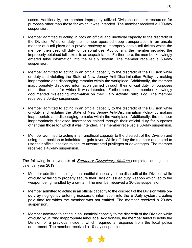cases. Additionally, the member improperly utilized Division computer resources for purposes other than those for which it was intended. The member received a 100-day suspension.

- Member admitted to acting in both an official and unofficial capacity to the discredit of the Division. While on-duty the member operated troop transportation in an unsafe manner at a toll plaza on a private roadway to improperly obtain toll tickets which the member then used off duty for personal use. Additionally, the member provided the improperly obtained toll tickets to an acquaintance. Furthermore, the member knowingly entered false information into the eDaily system. The member received a 60-day suspension.
- Member admitted to acting in an official capacity to the discredit of the Division while on-duty and violating the State of New Jersey Anti-Discrimination Policy by making inappropriate and disparaging remarks within the workplace. Additionally, the member inappropriately disclosed information gained through their official duty for purposes other than those for which it was intended. Furthermore, the member knowingly documented misleading information on their Daily Activity Patrol Log. The member received a 65-day suspension.
- Member admitted to acting in an official capacity to the discredit of the Division while on-duty and violating the State of New Jersey Anti-Discrimination Policy by making inappropriate and disparaging remarks within the workplace. Additionally, the member inappropriately disclosed information gained through their official duty for purposes other than those for which it was intended. The member received a 60-day suspension.
- Member admitted to acting in an unofficial capacity to the discredit of the Division and using their position to intimidate or gain favor. While off-duty the member attempted to use their official position to secure unwarranted privileges or advantages. The member received a 47-day suspension.

The following is a synopsis of *Summary Disciplinary Matters* completed during the calendar year 2019:

- Member admitted to acting in an unofficial capacity to the discredit of the Division while off-duty by failing to properly secure their Division issued duty weapon which led to the weapon being handled by a civilian. The member received a 30-day suspension.
- Member admitted to acting in an official capacity to the discredit of the Division while onduty by negligently entering inaccurate information into the E-Daily system, creating paid time for which the member was not entitled. The member received a 20-day suspension.
- Member admitted to acting in an unofficial capacity to the discredit of the Division while off-duty by utilizing inappropriate language. Additionally, the member failed to notify the Division of a previous incident, which required a response from the local police department. The member received a 10-day suspension.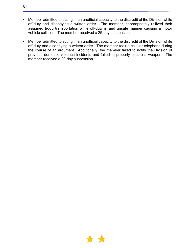- Member admitted to acting in an unofficial capacity to the discredit of the Division while off-duty and disobeying a written order. The member inappropriately utilized their assigned troop transportation while off-duty in and unsafe manner causing a motor vehicle collision. The member received a 25-day suspension.
- Member admitted to acting in an unofficial capacity to the discredit of the Division while off-duty and disobeying a written order. The member took a cellular telephone during the course of an argument. Additionally, the member failed to notify the Division of previous domestic violence incidents and failed to properly secure a weapon. The member received a 20-day suspension.

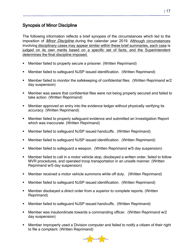# <span id="page-22-0"></span>Synopsis of Minor Discipline

The following information reflects a brief synopsis of the circumstances which led to the imposition of *Minor Discipline* during the calendar year 2019. Although circumstances involving disciplinary cases may appear similar within these brief summaries, each case is judged on its own merits based on a specific set of facts, and the Superintendent determines the final discipline imposed.

- Member failed to properly secure a prisoner. (Written Reprimand)
- Member failed to safeguard NJSP issued identification. (Written Reprimand)
- Member failed to monitor the safekeeping of confidential files. (Written Reprimand w/2 day suspension)
- Member was aware that confidential files were not being properly secured and failed to take action. (Written Reprimand)
- Member approved an entry into the evidence ledger without physically verifying its accuracy. (Written Reprimand)
- Member failed to properly safeguard evidence and submitted an Investigation Report which was inaccurate. (Written Reprimand)
- Member failed to safeguard NJSP issued handcuffs. (Written Reprimand)
- Member failed to safeguard NJSP issued identification. (Written Reprimand)
- Member failed to safeguard a weapon. (Written Reprimand w/5 day suspension)
- Member failed to call in a motor vehicle stop, disobeyed a written order, failed to follow MVR procedures, and operated troop transportation in an unsafe manner. (Written Reprimand w/5 day suspension)
- Member received a motor vehicle summons while off duty. (Written Reprimand)
- Member failed to safeguard NJSP issued identification. (Written Reprimand)
- Member disobeyed a direct order from a superior to complete reports. (Written Reprimand)
- Member failed to safeguard NJSP issued handcuffs. (Written Reprimand)
- Member was insubordinate towards a commanding officer. (Written Reprimand w/2 day suspension)
- Member improperly used a Division computer and failed to notify a citizen of their right to file a complaint. (Written Reprimand)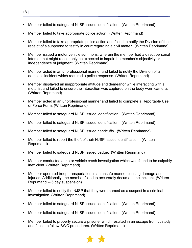- Member failed to safeguard NJSP issued identification. (Written Reprimand)
- **•** Member failed to take appropriate police action. (Written Reprimand)
- Member failed to take appropriate police action and failed to notify the Division of their receipt of a subpoena to testify in court regarding a civil matter. (Written Reprimand)
- Member issued a motor vehicle summons, wherein the member had a direct personal interest that might reasonably be expected to impair the member's objectivity or independence of judgment. (Written Reprimand)
- Member acted in an unprofessional manner and failed to notify the Division of a domestic incident which required a police response. (Written Reprimand)
- Member displayed an inappropriate attitude and demeanor while interacting with a motorist and failed to ensure the interaction was captured on the body worn camera. (Written Reprimand)
- Member acted in an unprofessional manner and failed to complete a Reportable Use of Force Form. (Written Reprimand)
- Member failed to safeguard NJSP issued identification. (Written Reprimand)
- Member failed to safeguard NJSP issued identification. (Written Reprimand)
- Member failed to safeguard NJSP issued handcuffs. (Written Reprimand)
- Member failed to report the theft of their NJSP issued identification. (Written Reprimand)
- Member failed to safeguard NJSP issued badge. (Written Reprimand)
- Member conducted a motor vehicle crash investigation which was found to be culpably inefficient. (Written Reprimand)
- Member operated troop transportation in an unsafe manner causing damage and injuries. Additionally, the member failed to accurately document the incident. (Written Reprimand w/5 day suspension)
- Member failed to notify the NJSP that they were named as a suspect in a criminal investigation. (Written Reprimand)
- Member failed to safeguard NJSP issued identification. (Written Reprimand)
- Member failed to safeguard NJSP issued identification. (Written Reprimand)
- Member failed to properly secure a prisoner which resulted in an escape from custody and failed to follow BWC procedures. (Written Reprimand)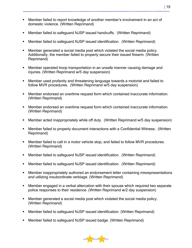- Member failed to report knowledge of another member's involvement in an act of domestic violence. (Written Reprimand)
- Member failed to safeguard NJSP issued handcuffs. (Written Reprimand)
- Member failed to safeguard NJSP issued identification. (Written Reprimand)
- Member generated a social media post which violated the social media policy. Additionally, the member failed to properly secure their issued firearm. (Written Reprimand)
- Member operated troop transportation in an unsafe manner causing damage and injuries. (Written Reprimand w/5 day suspension)
- Member used profanity and threatening language towards a motorist and failed to follow MVR procedures. (Written Reprimand w/5 day suspension)
- Member endorsed an overtime request form which contained inaccurate information. (Written Reprimand)
- Member endorsed an overtime request form which contained inaccurate information. (Written Reprimand)
- Member acted inappropriately while off duty. (Written Reprimand w/5 day suspension)
- Member failed to properly document interactions with a Confidential Witness. (Written Reprimand)
- Member failed to call in a motor vehicle stop, and failed to follow MVR procedures. (Written Reprimand)
- Member failed to safeguard NJSP issued identification. (Written Reprimand)
- Member failed to safeguard NJSP issued identification. (Written Reprimand)
- Member inappropriately authored an endorsement letter containing misrepresentations and utilizing insubordinate verbiage. (Written Reprimand)
- Member engaged in a verbal altercation with their spouse which required two separate police responses to their residence. (Written Reprimand w/2 day suspension)
- Member generated a social media post which violated the social media policy. (Written Reprimand)
- Member failed to safeguard NJSP issued identification. (Written Reprimand)
- Member failed to safeguard NJSP issued badge. (Written Reprimand)

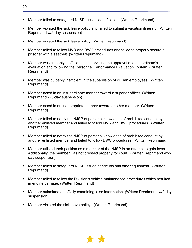- Member failed to safeguard NJSP issued identification. (Written Reprimand)
- Member violated the sick leave policy and failed to submit a vacation itinerary. (Written Reprimand w/2-day suspension)
- **Member violated the sick leave policy. (Written Reprimand)**
- Member failed to follow MVR and BWC procedures and failed to properly secure a prisoner with a seatbelt. (Written Reprimand)
- Member was culpably inefficient in supervising the approval of a subordinate's evaluation and following the Personnel Performance Evaluation System. (Written Reprimand)
- Member was culpably inefficient in the supervision of civilian employees. (Written Reprimand)
- Member acted in an insubordinate manner toward a superior officer. (Written Reprimand w/5-day suspension)
- Member acted in an inappropriate manner toward another member. (Written Reprimand)
- Member failed to notify the NJSP of personal knowledge of prohibited conduct by another enlisted member and failed to follow MVR and BWC procedures. (Written Reprimand)
- Member failed to notify the NJSP of personal knowledge of prohibited conduct by another enlisted member and failed to follow BWC procedures. (Written Reprimand)
- Member utilized their position as a member of the NJSP in an attempt to gain favor. Additionally, the member was not dressed properly for court. (Written Reprimand w/2 day suspension)
- Member failed to safeguard NJSP issued handcuffs and other equipment. (Written Reprimand)
- Member failed to follow the Division's vehicle maintenance procedures which resulted in engine damage. (Written Reprimand)
- Member submitted an eDaily containing false information. (Written Reprimand w/2-day suspension)
- **Member violated the sick leave policy. (Written Reprimand)**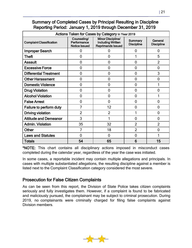# Summary of Completed Cases by Principal Resulting in Discipline Reporting Period: January 1, 2019 through December 31, 2019

| Actions Taken for Cases by Category in Year 2019 |                                                    |                                                                                  |                                     |                              |  |
|--------------------------------------------------|----------------------------------------------------|----------------------------------------------------------------------------------|-------------------------------------|------------------------------|--|
| <b>Complaint Classification</b>                  | Counseling/<br>Performance<br><b>Notice Issued</b> | <b>Minor Discipline/</b><br><b>Including Written</b><br><b>Reprimands Issued</b> | <b>Summary</b><br><b>Discipline</b> | General<br><b>Discipline</b> |  |
| <b>Improper Search</b>                           | 0                                                  | 0                                                                                | 0                                   | 0                            |  |
| <b>Theft</b>                                     | 0                                                  | $\overline{0}$                                                                   | 1                                   | 5                            |  |
| <b>Assault</b>                                   | 0                                                  | $\overline{0}$                                                                   | 0                                   | $\overline{2}$               |  |
| <b>Excessive Force</b>                           | 0                                                  | $\overline{0}$                                                                   | 0                                   | 0                            |  |
| <b>Differential Treatment</b>                    | 0                                                  | $\overline{0}$                                                                   | 0                                   | 3                            |  |
| <b>Other Harassment</b>                          | $\overline{0}$                                     | $\overline{0}$                                                                   | $\overline{0}$                      | $\overline{0}$               |  |
| <b>Domestic Violence</b>                         | 0                                                  | 0                                                                                | 0                                   |                              |  |
| <b>Drug Violation</b>                            | 0                                                  | 0                                                                                | 0                                   | 0                            |  |
| <b>Alcohol Violation</b>                         | 0                                                  | $\overline{0}$                                                                   | $\overline{0}$                      | 1                            |  |
| <b>False Arrest</b>                              | 0                                                  | $\overline{0}$                                                                   | 0                                   | 0                            |  |
| Failure to perform duty                          | 7                                                  | 12                                                                               | 0                                   | 0                            |  |
| <b>Driving violation</b>                         | $\overline{2}$                                     | $\overline{2}$                                                                   | 1                                   | $\overline{0}$               |  |
| <b>Attitude and Demeanor</b>                     | 3                                                  | 1                                                                                | $\overline{0}$                      | $\overline{0}$               |  |
| <b>Admin. Violation</b>                          | 35                                                 | 32                                                                               | $\overline{2}$                      | $\overline{2}$               |  |
| <b>Other</b>                                     | 7                                                  | 18                                                                               | $\overline{2}$                      | 0                            |  |
| <b>Laws and Statutes</b>                         | 0                                                  | 0                                                                                | 0                                   |                              |  |
| <b>Totals</b>                                    | 54                                                 | 65                                                                               | 6                                   | 15                           |  |

\*NOTE: This chart contains all disciplinary actions imposed in misconduct cases completed during the calendar year, regardless of the year the case was initiated.

In some cases, a reportable incident may contain multiple allegations and principals. In cases with multiple substantiated allegations, the resulting discipline against a member is listed next to the Complaint Classification category considered the most severe.

# <span id="page-26-0"></span>Prosecution for False Citizen Complaints

As can be seen from this report, the Division of State Police takes citizen complaints seriously and fully investigates them. However, if a complaint is found to be fabricated and maliciously pursued, the complainant may be subject to criminal prosecution. During 2019, no complainants were criminally charged for filing false complaints against Division members.

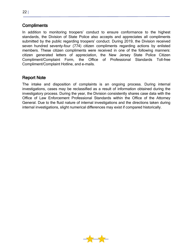# <span id="page-27-0"></span>**Compliments**

In addition to monitoring troopers' conduct to ensure conformance to the highest standards, the Division of State Police also accepts and appreciates all compliments submitted by the public regarding troopers' conduct. During 2019, the Division received seven hundred seventy-four (774) citizen compliments regarding actions by enlisted members. These citizen compliments were received in one of the following manners: citizen generated letters of appreciation, the New Jersey State Police Citizen Compliment/Complaint Form, the Office of Professional Standards Toll-free Compliment/Complaint Hotline, and e-mails.

# <span id="page-27-2"></span>Report Note

<span id="page-27-1"></span>The intake and disposition of complaints is an ongoing process. During internal investigations, cases may be reclassified as a result of information obtained during the investigatory process. During the year, the Division consistently shares case data with the Office of Law Enforcement Professional Standards within the Office of the Attorney General. Due to the fluid nature of internal investigations and the directions taken during internal investigations, slight numerical differences may exist if compared historically.

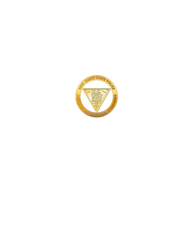